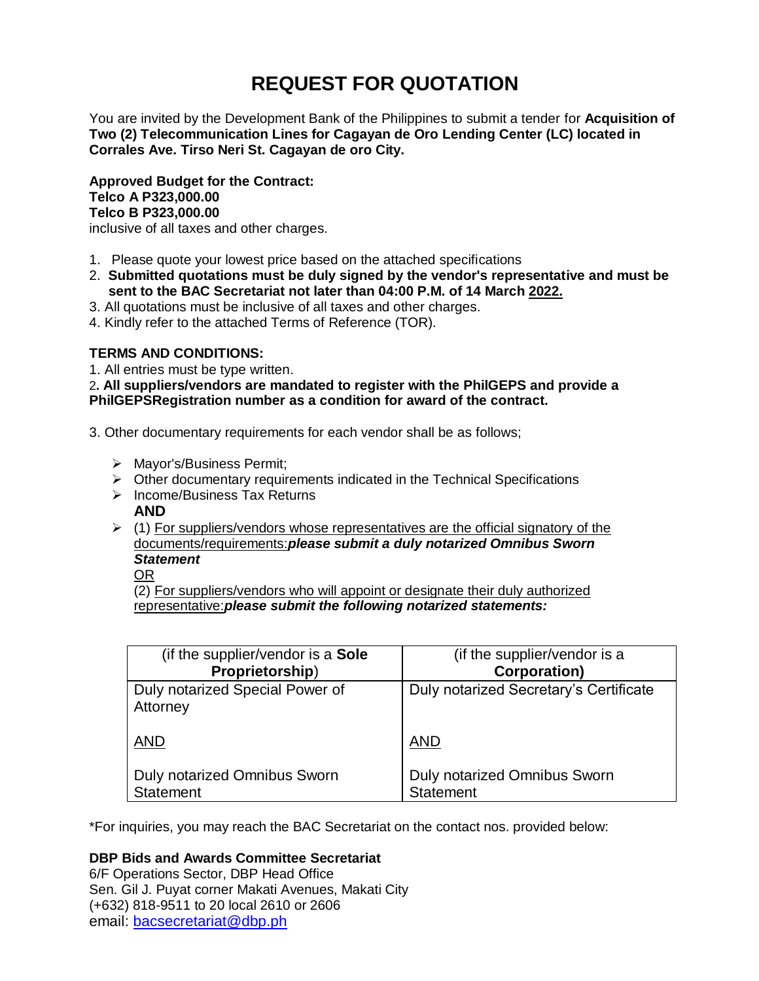# **REQUEST FOR QUOTATION**

You are invited by the Development Bank of the Philippines to submit a tender for **Acquisition of Two (2) Telecommunication Lines for Cagayan de Oro Lending Center (LC) located in Corrales Ave. Tirso Neri St. Cagayan de oro City.**

**Approved Budget for the Contract: Telco A P323,000.00 Telco B P323,000.00**

inclusive of all taxes and other charges.

- 1. Please quote your lowest price based on the attached specifications
- 2. **Submitted quotations must be duly signed by the vendor's representative and must be sent to the BAC Secretariat not later than 04:00 P.M. of 14 March 2022.**
- 3. All quotations must be inclusive of all taxes and other charges.
- 4. Kindly refer to the attached Terms of Reference (TOR).

# **TERMS AND CONDITIONS:**

1. All entries must be type written.

2**. All suppliers/vendors are mandated to register with the PhilGEPS and provide a PhilGEPSRegistration number as a condition for award of the contract.**

- 3. Other documentary requirements for each vendor shall be as follows;
	- > Mayor's/Business Permit;
	- $\triangleright$  Other documentary requirements indicated in the Technical Specifications
	- $\triangleright$  Income/Business Tax Returns **AND**
	- $\triangleright$  (1) For suppliers/vendors whose representatives are the official signatory of the documents/requirements:*please submit a duly notarized Omnibus Sworn Statement*

OR

(2) For suppliers/vendors who will appoint or designate their duly authorized representative:*please submit the following notarized statements:*

| (if the supplier/vendor is a Sole<br>Proprietorship)    | (if the supplier/vendor is a<br><b>Corporation)</b>     |
|---------------------------------------------------------|---------------------------------------------------------|
| Duly notarized Special Power of                         | Duly notarized Secretary's Certificate                  |
| Attorney                                                |                                                         |
| <b>AND</b>                                              | <b>AND</b>                                              |
| <b>Duly notarized Omnibus Sworn</b><br><b>Statement</b> | <b>Duly notarized Omnibus Sworn</b><br><b>Statement</b> |

\*For inquiries, you may reach the BAC Secretariat on the contact nos. provided below:

# **DBP Bids and Awards Committee Secretariat**

6/F Operations Sector, DBP Head Office Sen. Gil J. Puyat corner Makati Avenues, Makati City (+632) 818-9511 to 20 local 2610 or 2606 email: [bacsecretariat@dbp.ph](mailto:bacsecretariat@dbp.ph)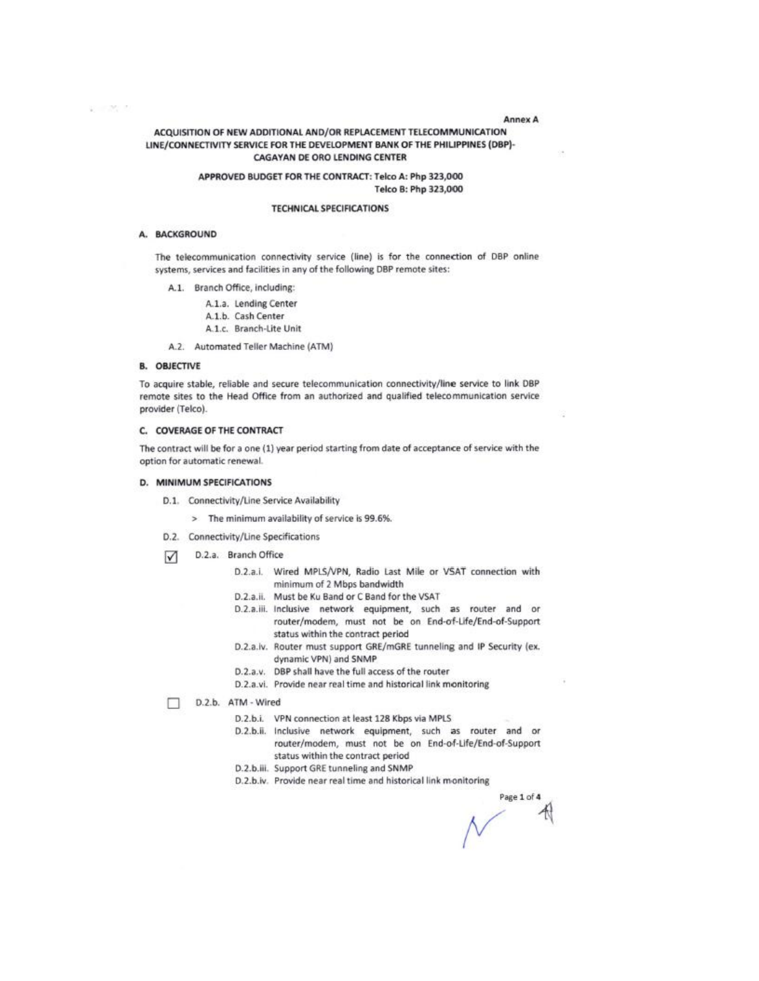#### **Annex A**

## ACQUISITION OF NEW ADDITIONAL AND/OR REPLACEMENT TELECOMMUNICATION LINE/CONNECTIVITY SERVICE FOR THE DEVELOPMENT BANK OF THE PHILIPPINES (DBP)-**CAGAYAN DE ORO LENDING CENTER**

#### APPROVED BUDGET FOR THE CONTRACT: Telco A: Php 323,000 Telco B: Php 323,000

#### **TECHNICAL SPECIFICATIONS**

#### A. BACKGROUND

The telecommunication connectivity service (line) is for the connection of DBP online systems, services and facilities in any of the following DBP remote sites:

- A.1. Branch Office, including:
	- A.1.a. Lending Center
	- A.1.b. Cash Center
	- A.1.c. Branch-Lite Unit
- A.2. Automated Teller Machine (ATM)

#### **B. OBJECTIVE**

To acquire stable, reliable and secure telecommunication connectivity/line service to link DBP remote sites to the Head Office from an authorized and qualified telecommunication service provider (Telco).

#### C. COVERAGE OF THE CONTRACT

The contract will be for a one (1) year period starting from date of acceptance of service with the option for automatic renewal.

# D. MINIMUM SPECIFICATIONS

- D.1. Connectivity/Line Service Availability
	- > The minimum availability of service is 99.6%.
- D.2. Connectivity/Line Specifications
- D.2.a. Branch Office  $\sqrt{}$ 
	- D.2.a.i. Wired MPLS/VPN, Radio Last Mile or VSAT connection with minimum of 2 Mbps bandwidth
	- D.2.a.ii. Must be Ku Band or C Band for the VSAT
	- D.2.a.iii. Inclusive network equipment, such as router and or router/modem, must not be on End-of-Life/End-of-Support status within the contract period
	- D.2.a.iv. Router must support GRE/mGRE tunneling and IP Security (ex. dynamic VPN) and SNMP
	- D.2.a.v. DBP shall have the full access of the router
	- D.2.a.vi. Provide near real time and historical link monitoring

D.2.b. ATM - Wired п

- D.2.b.i. VPN connection at least 128 Kbps via MPLS
- D.2.b.ii. Inclusive network equipment, such as router and or router/modem, must not be on End-of-Life/End-of-Support status within the contract period
- D.2.b.iii. Support GRE tunneling and SNMP
- D.2.b.iv. Provide near real time and historical link monitoring

Page 1 of 4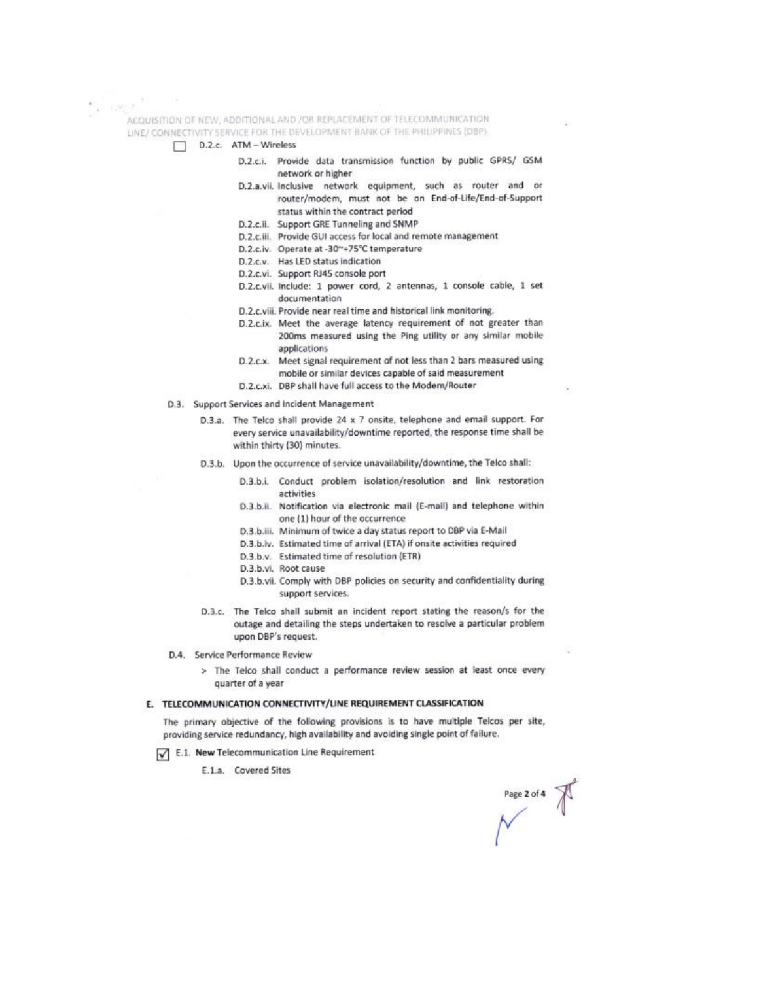ACQUISITION OF NEW, ADDITIONAL AND /OR REPLACEMENT OF TELECOMMUNICATION LINE/ CONNECTIVITY SERVICE FOR THE DEVELOPMENT BANK OF THE PHILIPPINES (DBP)

D.2.c. ATM - Wireless

- D.2.c.i. Provide data transmission function by public GPRS/ GSM network or higher
	- D.2.a.vii. Inclusive network equipment, such as router and or router/modem, must not be on End-of-Life/End-of-Support status within the contract period
	- D.2.c.ii. Support GRE Tunneling and SNMP
	- D.2.c.iii. Provide GUI access for local and remote management
	- D.2.c.iv. Operate at -30~+75°C temperature
	- D.2.c.v. Has LED status indication
	- D.2.c.vi. Support RJ45 console port
	- D.2.c.vii. Include: 1 power cord, 2 antennas, 1 console cable, 1 set documentation
	- D.2.c.viii. Provide near real time and historical link monitoring.
	- D.2.c.ix. Meet the average latency requirement of not greater than 200ms measured using the Ping utility or any similar mobile applications
	- D.2.c.x. Meet signal requirement of not less than 2 bars measured using mobile or similar devices capable of said measurement
	- D.2.c.xi. DBP shall have full access to the Modem/Router
- D.3. Support Services and Incident Management
	- D.3.a. The Telco shall provide 24 x 7 onsite, telephone and email support. For every service unavailability/downtime reported, the response time shall be within thirty (30) minutes.
	- D.3.b. Upon the occurrence of service unavailability/downtime, the Telco shall:
		- Conduct problem isolation/resolution and link restoration D.3.b.i. activities
		- D.3.b.ii. Notification via electronic mail (E-mail) and telephone within one (1) hour of the occurrence
		- D.3.b.iii. Minimum of twice a day status report to DBP via E-Mail
		- D.3.b.iv. Estimated time of arrival (ETA) if onsite activities required
		- D.3.b.v. Estimated time of resolution (ETR)
		- D.3.b.vi. Root cause
		- D.3.b.vii. Comply with DBP policies on security and confidentiality during support services.
	- D.3.c. The Telco shall submit an incident report stating the reason/s for the outage and detailing the steps undertaken to resolve a particular problem upon DBP's request.
- D.4. Service Performance Review
	- > The Telco shall conduct a performance review session at least once every quarter of a year

# E. TELECOMMUNICATION CONNECTIVITY/LINE REQUIREMENT CLASSIFICATION

The primary objective of the following provisions is to have multiple Telcos per site, providing service redundancy, high availability and avoiding single point of failure.

E.1. New Telecommunication Line Requirement

E.1.a. Covered Sites

Page 2 of 4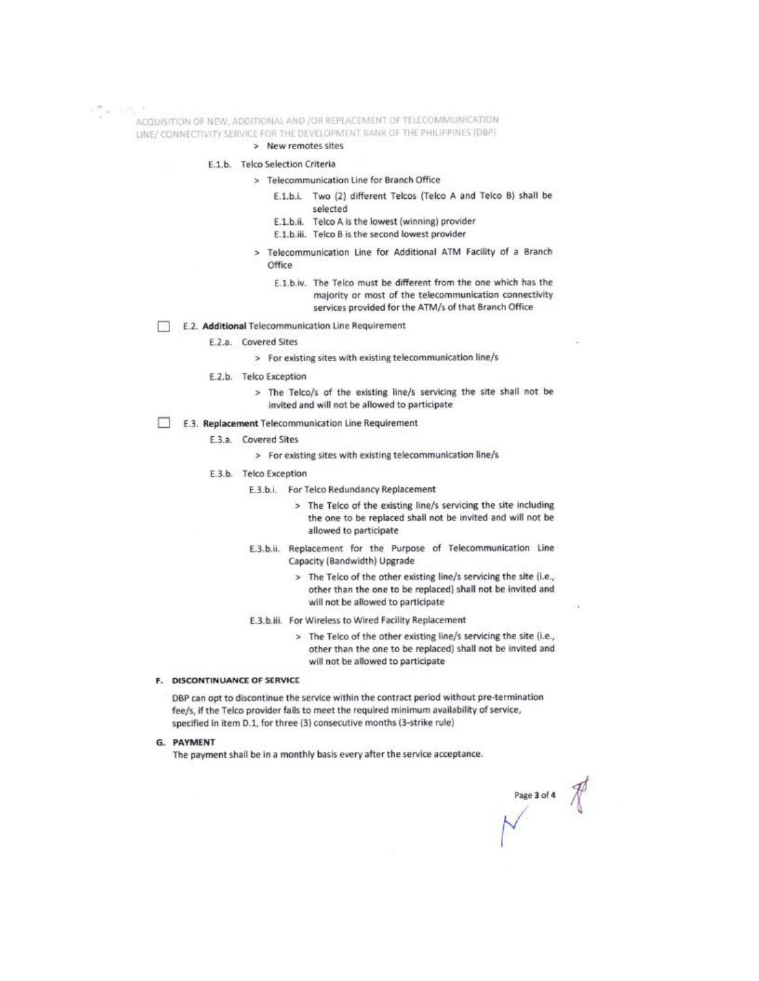ACQUISITION OF NEW, ADDITIONAL AND /OR REPLACEMENT OF TELECOMMUNICATION LINE/ CONNECTIVITY SERVICE FOR THE DEVELOPMENT BANK OF THE PHILIPPINES (DBP)

### > New remotes sites

- E.1.b. Telco Selection Criteria
	- > Telecommunication Line for Branch Office
		- E.1.b.i. Two (2) different Telcos (Telco A and Telco B) shall be selected
		- E.1.b.ii. Telco A is the lowest (winning) provider
		- E.1.b.iii. Telco B is the second lowest provider
	- > Telecommunication Line for Additional ATM Facility of a Branch Office
		- E.1.b.iv. The Telco must be different from the one which has the majority or most of the telecommunication connectivity services provided for the ATM/s of that Branch Office
- E.2. Additional Telecommunication Line Requirement  $\sim 10$ 
	- E.2.a. Covered Sites
		- > For existing sites with existing telecommunication line/s
	- E.2.b. Telco Exception
		- > The Telco/s of the existing line/s servicing the site shall not be invited and will not be allowed to participate
- E.3. Replacement Telecommunication Line Requirement
	- E.3.a. Covered Sites
		- > For existing sites with existing telecommunication line/s
	- E.3.b. Telco Exception
		- E.3.b.i. For Telco Redundancy Replacement
			- > The Telco of the existing line/s servicing the site including the one to be replaced shall not be invited and will not be allowed to participate
		- E.3.b.ii. Replacement for the Purpose of Telecommunication Line Capacity (Bandwidth) Upgrade
			- > The Telco of the other existing line/s servicing the site (i.e., other than the one to be replaced) shall not be invited and will not be allowed to participate
		- E.3.b.iii. For Wireless to Wired Facility Replacement
			- > The Telco of the other existing line/s servicing the site (i.e., other than the one to be replaced) shall not be invited and will not be allowed to participate

#### F. DISCONTINUANCE OF SERVICE

DBP can opt to discontinue the service within the contract period without pre-termination fee/s, if the Telco provider fails to meet the required minimum availability of service, specified in item D.1, for three (3) consecutive months (3-strike rule)

**G. PAYMENT** 

The payment shall be in a monthly basis every after the service acceptance.

Page 3 of 4  $\sqrt{\frac{2}{1}}$